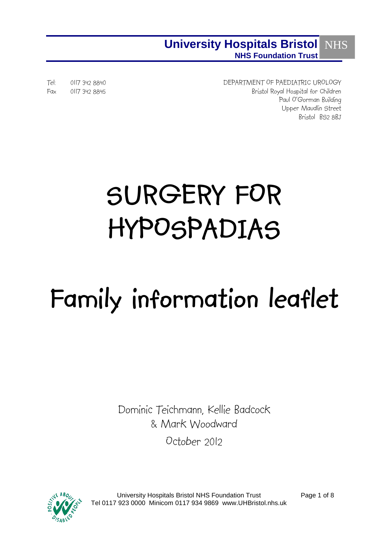## **University Hospitals Bristol NHS Foundation Trust NHS**

Tel: 0117 342 8840 DEPARTMENT OF PAEDIATRIC UROLOGY Fax 0117 342 8845 Bristol Royal Hospital for Children Paul O'Gorman Building Upper Maudlin Street Bristol BS2 8BJ

# **SURGERY FOR HYPOSPADIAS**

# **Family information leaflet**

Dominic Teichmann, Kellie Badcock & Mark Woodward

October 2012



University Hospitals Bristol NHS Foundation Trust Tel 0117 923 0000 Minicom 0117 934 9869 www.UHBristol.nhs.uk

Page 1 of 8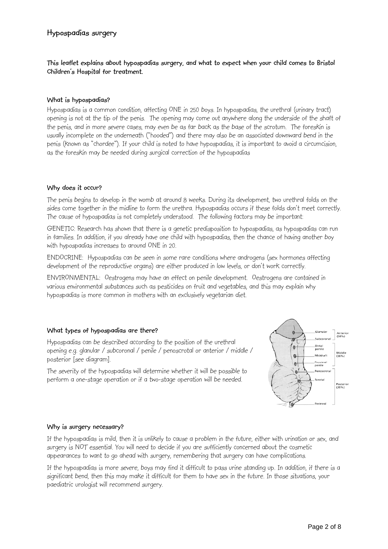**This leaflet explains about hypospadias surgery, and what to expect when your child comes to Bristol Children's Hospital for treatment.**

## **What is hypospadias?**

Hypospadias is a common condition, affecting ONE in 250 boys. In hypospadias, the urethral (urinary tract) opening is not at the tip of the penis. The opening may come out anywhere along the underside of the shaft of the penis, and in more severe cases, may even be as far back as the base of the scrotum. The foreskin is usually incomplete on the underneath ("hooded") and there may also be an associated downward bend in the penis (known as "chordee"). If your child is noted to have hypospadias, it is important to avoid a circumcision, as the foreskin may be needed during surgical correction of the hypospadias

#### **Why does it occur?**

The penis begins to develop in the womb at around 8 weeks. During its development, two urethral folds on the sides come together in the midline to form the urethra. Hypospadias occurs if these folds don't meet correctly. The cause of hypospadias is not completely understood. The following factors may be important:

GENETIC: Research has shown that there is a genetic predisposition to hypospadias, as hypospadias can run in families. In addition, if you already have one child with hypospadias, then the chance of having another boy with hypospadias increases to around ONE in 20.

ENDOCRINE: Hypospadias can be seen in some rare conditions where androgens (sex hormones affecting development of the reproductive organs) are either produced in low levels, or don't work correctly.

ENVIRONMENTAL: Oestrogens may have an effect on penile development. Oestrogens are contained in various environmental substances such as pesticides on fruit and vegetables, and this may explain why hypospadias is more common in mothers with an exclusively vegetarian diet.

## **What types of hypospadias are there?**

Hypospadias can be described according to the position of the urethral opening e.g. glanular / subcoronal / penile / penoscrotal or anterior / middle / posterior [see diagram].

The severity of the hypospadias will determine whether it will be possible to perform a one-stage operation or if a two-stage operation will be needed.



#### **Why is surgery necessary?**

If the hypospadias is mild, then it is unlikely to cause a problem in the future, either with urination or sex, and surgery is NOT essential. You will need to decide if you are sufficiently concerned about the cosmetic appearances to want to go ahead with surgery, remembering that surgery can have complications.

If the hypospadias is more severe, boys may find it difficult to pass urine standing up. In addition, if there is a significant bend, then this may make it difficult for them to have sex in the future. In those situations, your paediatric urologist will recommend surgery.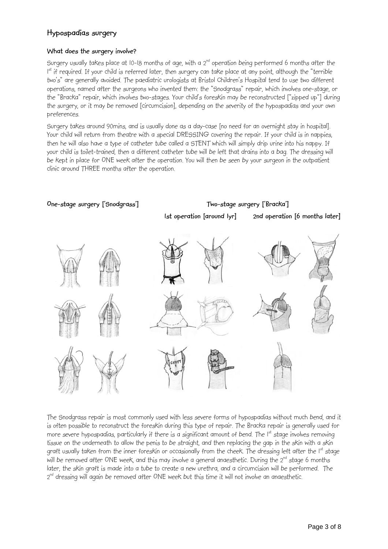## **What does the surgery involve?**

Surgery usually takes place at  $10$ -18 months of age, with a  $2<sup>nd</sup>$  operation being performed 6 months after the I<sup>st</sup> if required. If your child is referred later, then surgery can take place at any point, although the "terrible two's" are generally avoided. The paediatric urologists at Bristol Children's Hospital tend to use two different operations, named after the surgeons who invented them: the "Snodgrass" repair, which involves one-stage, or the "Bracka" repair, which involves two-stages. Your child's foreskin may be reconstructed ["zipped up"] during the surgery, or it may be removed [circumcision], depending on the severity of the hypospadias and your own preferences.

Surgery takes around 90mins, and is usually done as a day-case [no need for an overnight stay in hospital]. Your child will return from theatre with a special DRESSING covering the repair. If your child is in nappies, then he will also have a type of catheter tube called a STENT which will simply drip urine into his nappy. If your child is toilet-trained, then a different catheter tube will be left that drains into a bag. The dressing will be kept in place for ONE week after the operation. You will then be seen by your surgeon in the outpatient clinic around THREE months after the operation.



The Snodgrass repair is most commonly used with less severe forms of hypospadias without much bend, and it is often possible to reconstruct the foreskin during this type of repair. The Bracka repair is generally used for more severe hypospadias, particularly if there is a significant amount of bend. The 1<sup>st</sup> stage involves removing tissue on the underneath to allow the penis to be straight, and then replacing the gap in the skin with a skin graft usually taken from the inner foreskin or occasionally from the cheek. The dressing left after the I<sup>st</sup> stage will be removed after ONE week, and this may involve a general anaesthetic. During the 2<sup>nd</sup> stage 6 months later, the skin graft is made into a tube to create a new urethra, and a circumcision will be performed. The 2<sup>nd</sup> dressing will again be removed after ONE week but this time it will not involve an anaesthetic.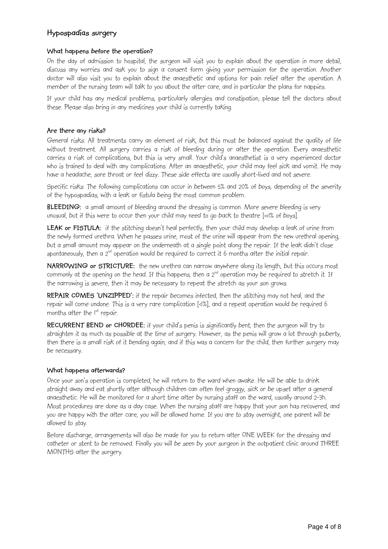## **What happens before the operation?**

On the day of admission to hospital, the surgeon will visit you to explain about the operation in more detail, discuss any worries and ask you to sign a consent form giving your permission for the operation. Another doctor will also visit you to explain about the anaesthetic and options for pain relief after the operation. A member of the nursing team will talk to you about the after care, and in particular the plans for nappies.

If your child has any medical problems, particularly allergies and constipation, please tell the doctors about these. Please also bring in any medicines your child is currently taking.

## **Are there any risks?**

General risks: All treatments carry an element of risk, but this must be balanced against the quality of life without treatment. All surgery carries a risk of bleeding during or after the operation. Every anaesthetic carries a risk of complications, but this is very small. Your child's anaesthetist is a very experienced doctor who is trained to deal with any complications. After an anaesthetic, your child may feel sick and vomit. He may have a headache, sore throat or feel dizzy. These side effects are usually short-lived and not severe.

Specific risks: The following complications can occur in between 5% and 20% of boys, depending of the severity of the hypospadias, with a leak or fistula being the most common problem.

**BLEEDING:** a small amount of bleeding around the dressing is common. More severe bleeding is very unusual, but if this were to occur then your child may need to go back to theatre [<<1% of boys].

LEAK or FISTULA: if the stitching doesn't heal perfectly, then your child may develop a leak of urine from the newly formed urethra. When he passes urine, most of the urine will appear from the new urethral opening, but a small amount may appear on the underneath at a single point along the repair. If the leak didn't close spontaneously, then a  $2^{nd}$  operation would be required to correct it 6 months after the initial repair.

**NARROWING or STRICTURE:** the new urethra can narrow anywhere along its length, but this occurs most commonly at the opening on the head. If this happens, then a  $2^{nd}$  operation may be required to stretch it. If the narrowing is severe, then it may be necessary to repeat the stretch as your son grows.

**REPAIR COMES 'UNZIPPED':** if the repair becomes infected, then the stitching may not heal, and the repair will come undone. This is a very rare complication [<1%], and a repeat operation would be required 6 months after the 1<sup>st</sup> repair.

**RECURRENT BEND or CHORDEE:** if your child's penis is significantly bent, then the surgeon will try to straighten it as much as possible at the time of surgery. However, as the penis will grow a lot through puberty, then there is a small risk of it bending again, and if this was a concern for the child, then further surgery may be necessary.

## **What happens afterwards?**

Once your son's operation is completed, he will return to the ward when awake. He will be able to drink straight away and eat shortly after although children can often feel groggy, sick or be upset after a general anaesthetic. He will be monitored for a short time after by nursing staff on the ward, usually around 2-3h. Most procedures are done as a day case. When the nursing staff are happy that your son has recovered, and you are happy with the after care, you will be allowed home. If you are to stay overnight, one parent will be allowed to stay.

Before discharge, arrangements will also be made for you to return after ONE WEEK for the dressing and catheter or stent to be removed. Finally you will be seen by your surgeon in the outpatient clinic around THREE MONTHS after the surgery.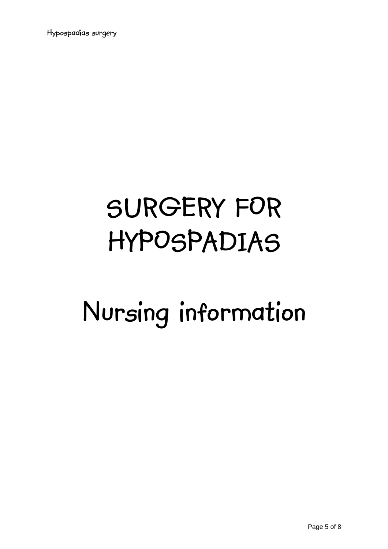# **SURGERY FOR HYPOSPADIAS**

# **Nursing information**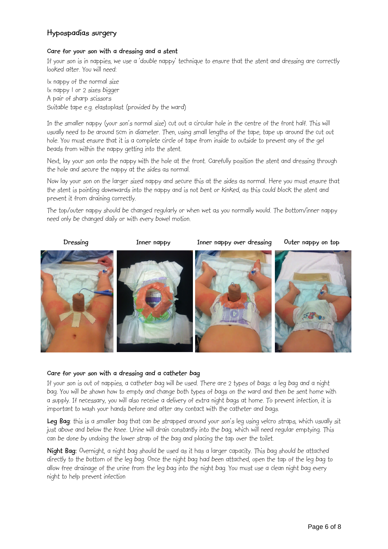## **Care for your son with a dressing and a stent**

If your son is in nappies, we use a 'double nappy' technique to ensure that the stent and dressing are correctly looked after. You will need:

1x nappy of the normal size 1x nappy 1 or 2 sizes bigger A pair of sharp scissors Suitable tape e.g. elastoplast (provided by the ward)

In the smaller nappy (your son's normal size) cut out a circular hole in the centre of the front half. This will usually need to be around 5cm in diameter. Then, using small lengths of the tape, tape up around the cut out hole. You must ensure that it is a complete circle of tape from inside to outside to prevent any of the gel beads from within the nappy getting into the stent.

Next, lay your son onto the nappy with the hole at the front. Carefully position the stent and dressing through the hole and secure the nappy at the sides as normal.

Now lay your son on the larger sized nappy and secure this at the sides as normal. Here you must ensure that the stent is pointing downwards into the nappy and is not bent or kinked, as this could block the stent and prevent it from draining correctly.

The top/outer nappy should be changed regularly or when wet as you normally would. The bottom/inner nappy need only be changed daily or with every bowel motion.



## **Care for your son with a dressing and a catheter bag**

If your son is out of nappies, a catheter bag will be used. There are 2 types of bags: a leg bag and a night bag. You will be shown how to empty and change both types of bags on the ward and then be sent home with a supply. If necessary, you will also receive a delivery of extra night bags at home. To prevent infection, it is important to wash your hands before and after any contact with the catheter and bags.

**Leg Bag**: this is a smaller bag that can be strapped around your son's leg using velcro straps, which usually sit just above and below the knee. Urine will drain constantly into the bag, which will need regular emptying. This can be done by undoing the lower strap of the bag and placing the tap over the toilet.

**Night Bag:** Overnight, a night bag should be used as it has a larger capacity. This bag should be attached directly to the bottom of the leg bag. Once the night bag had been attached, open the tap of the leg bag to allow free drainage of the urine from the leg bag into the night bag. You must use a clean night bag every night to help prevent infection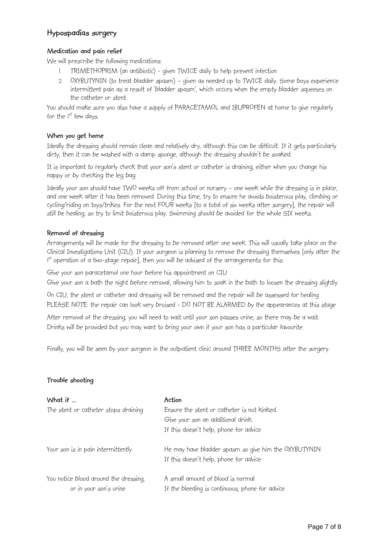## **Medication and pain relief**

We will prescribe the following medications:

- 1. TRIMETHOPRIM (an antibiotic) given TWICE daily to help prevent infection
- 2. OXYBUTYNIN (to treat bladder spasm) given as needed up to TWICE daily. Some boys experience intermittent pain as a result of 'bladder spasm', which occurs when the empty bladder squeezes on the catheter or stent.

You should make sure you also have a supply of PARACETAMOL and IBUPROFEN at home to give regularly for the  $I^{st}$  few days.

## **When you get home**

Ideally the dressing should remain clean and relatively dry, although this can be difficult. If it gets particularly dirty, then it can be washed with a damp sponge, although the dressing shouldn't be soaked.

It is important to regularly check that your son's stent or catheter is draining, either when you change his nappy or by checking the leg bag.

Ideally your son should have TWO weeks off from school or nursery – one week while the dressing is in place, and one week after it has been removed. During this time, try to ensure he avoids boisterous play, climbing or cycling/riding on toys/trikes. For the next FOUR weeks [to a total of six weeks after surgery], the repair will still be healing, so try to limit boisterous play. Swimming should be avoided for the whole SIX weeks.

## **Removal of dressing**

Arrangements will be made for the dressing to be removed after one week. This will usually take place on the Clinical Investigations Unit (CIU). If your surgeon is planning to remove the dressing themselves [only after the  $1<sup>st</sup>$  operation of a two-stage repair], then you will be advised of the arrangements for this.

Give your son paracetamol one hour before his appointment on CIU

Give your son a bath the night before removal, allowing him to soak in the bath to loosen the dressing slightly

On CIU, the stent or catheter and dressing will be removed and the repair will be assessed for healing PLEASE NOTE: the repair can look very bruised - DO NOT BE ALARMED by the appearances at this stage

After removal of the dressing, you will need to wait until your son passes urine, so there may be a wait. Drinks will be provided but you may want to bring your own if your son has a particular favourite.

Finally, you will be seen by your surgeon in the outpatient clinic around THREE MONTHS after the surgery.

## **Trouble shooting**

| What if                               | Action                                               |
|---------------------------------------|------------------------------------------------------|
| The stent or catheter stops draining  | Ensure the stent or catheter is not kinked.          |
|                                       | Give your son an additional drink.                   |
|                                       | If this doesn't help, phone for advice               |
| Your son is in pain intermittently    | He may have bladder spasm so give him the OXYBUTYNIN |
|                                       | If this doesn't help, phone for advice               |
| You notice blood around the dressing, | A small amount of blood is normal                    |
| or in your son's urine                | If the bleeding is continuous, phone for advice      |